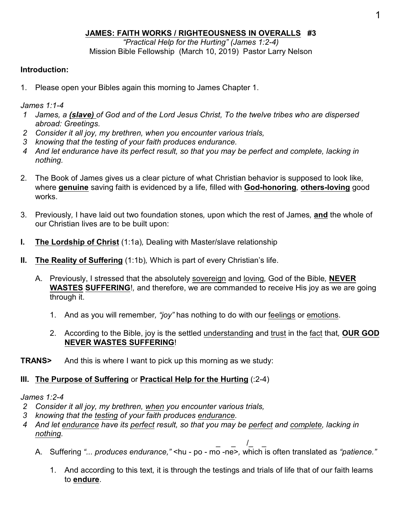## **JAMES: FAITH WORKS / RIGHTEOUSNESS IN OVERALLS #3**

*"Practical Help for the Hurting" (James 1:2-4)* Mission Bible Fellowship (March 10, 2019) Pastor Larry Nelson

## **Introduction:**

1. Please open your Bibles again this morning to James Chapter 1.

*James 1:1-4* 

- *1 James, a (slave) of God and of the Lord Jesus Christ, To the twelve tribes who are dispersed abroad: Greetings.*
- *2 Consider it all joy, my brethren, when you encounter various trials,*
- *3 knowing that the testing of your faith produces endurance.*
- *4 And let endurance have its perfect result, so that you may be perfect and complete, lacking in nothing.*
- 2. The Book of James gives us a clear picture of what Christian behavior is supposed to look like*,* where **genuine** saving faith is evidenced by a life*,* filled with **God-honoring***,* **others-loving** good works.
- 3. Previously*,* I have laid out two foundation stones*,* upon which the rest of James*,* **and** the whole of our Christian lives are to be built upon:
- **I. The Lordship of Christ** (1:1a)*,* Dealing with Master/slave relationship
- **II. The Reality of Suffering** (1:1b)*,* Which is part of every Christian's life.
	- A. Previously, I stressed that the absolutely sovereign and loving*,* God of the Bible*,* **NEVER WASTES SUFFERING**!*,* and therefore, we are commanded to receive His joy as we are going through it.
		- 1. And as you will remember*, "joy"* has nothing to do with our feelings or emotions.
		- 2. According to the Bible, joy is the settled understanding and trust in the fact that*,* **OUR GOD NEVER WASTES SUFFERING**!
- **TRANS>** And this is where I want to pick up this morning as we study:

## **III. The Purpose of Suffering** or **Practical Help for the Hurting** (:2-4)

#### *James 1:2-4*

- *2 Consider it all joy, my brethren, when you encounter various trials,*
- *3 knowing that the testing of your faith produces endurance.*
- *4 And let endurance have its perfect result, so that you may be perfect and complete, lacking in nothing.*
	- $/$   $-$ A. Suffering *"... produces endurance,"* <hu - po - mo -ne>*,* which is often translated as *"patience."*
		- 1. And according to this text*,* it is through the testings and trials of life that of our faith learns to **endure**.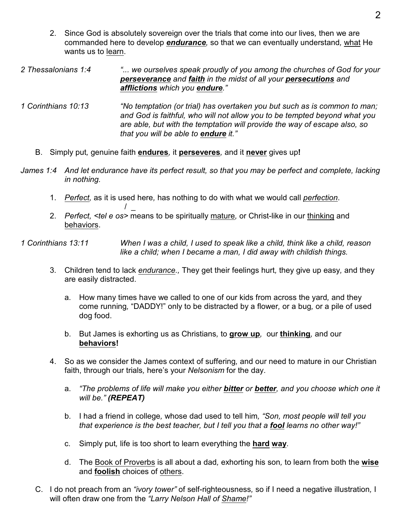- 2. Since God is absolutely sovereign over the trials that come into our lives*,* then we are commanded here to develop *endurance,* so that we can eventually understand*,* what He wants us to learn.
- *2 Thessalonians 1:4 "... we ourselves speak proudly of you among the churches of God for your perseverance and faith in the midst of all your persecutions and afflictions which you endure."*
- *1 Corinthians 10:13 "No temptation (or trial) has overtaken you but such as is common to man; and God is faithful, who will not allow you to be tempted beyond what you are able, but with the temptation will provide the way of escape also, so that you will be able to endure it."* 
	- B. Simply put*,* genuine faith **endures***,* it **perseveres***,* and it **never** gives up**!**

 $\prime$ 

- *James 1:4 And let endurance have its perfect result, so that you may be perfect and complete, lacking in nothing.*
	- 1. *Perfect,* as it is used here*,* has nothing to do with what we would call *perfection*.
	- 2. *Perfect, <tel e os>* means to be spiritually mature*,* or Christ-like in our thinking and behaviors.
- *1 Corinthians 13:11 When I was a child, I used to speak like a child, think like a child, reason like a child; when I became a man, I did away with childish things.*
	- 3. Children tend to lack *endurance.,* They get their feelings hurt*,* they give up easy*,* and they are easily distracted.
		- a. How many times have we called to one of our kids from across the yard*,* and they come running*,* "DADDY!" only to be distracted by a flower*,* or a bug*,* or a pile of used dog food.
		- b. But James is exhorting us as Christians*,* to **grow up***,* our **thinking***,* and our **behaviors!**
	- 4. So as we consider the James context of suffering*,* and our need to mature in our Christian faith, through our trials*,* here's your *Nelsonism* for the day.
		- a. *"The problems of life will make you either bitter or better, and you choose which one it will be." (REPEAT)*
		- b. I had a friend in college*,* whose dad used to tell him*, "Son, most people will tell you that experience is the best teacher, but I tell you that a fool learns no other way!"*
		- c. Simply put*,* life is too short to learn everything the **hard way**.
		- d. The Book of Proverbs is all about a dad*,* exhorting his son*,* to learn from both the **wise** and **foolish** choices of others.
	- C. I do not preach from an *"ivory tower"* of self-righteousness*,* so if I need a negative illustration*,* I will often draw one from the *"Larry Nelson Hall of Shame!"*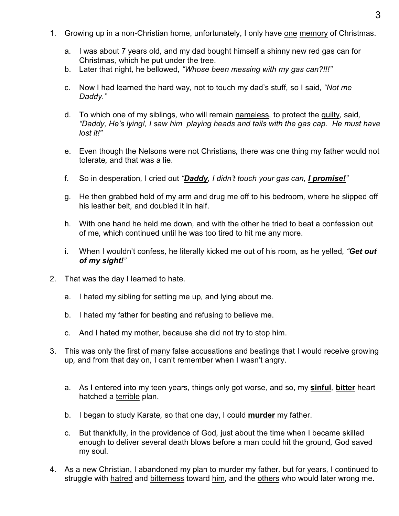- 1. Growing up in a non-Christian home, unfortunately, I only have one memory of Christmas.
	- a. I was about 7 years old*,* and my dad bought himself a shinny new red gas can for Christmas*,* which he put under the tree.
	- b. Later that night*,* he bellowed*, "Whose been messing with my gas can?!!!"*
	- c. Now I had learned the hard way*,* not to touch my dad's stuff*,* so I said*, "Not me Daddy."*
	- d. To which one of my siblings*,* who will remain nameless*,* to protect the guilty*,* said*, "Daddy, He's lying!, I saw him playing heads and tails with the gas cap. He must have lost it!"*
	- e. Even though the Nelsons were not Christians*,* there was one thing my father would not tolerate*,* and that was a lie.
	- f. So in desperation*,* I cried out *"Daddy, I didn't touch your gas can, I promise!"*
	- g. He then grabbed hold of my arm and drug me off to his bedroom*,* where he slipped off his leather belt*,* and doubled it in half.
	- h. With one hand he held me down*,* and with the other he tried to beat a confession out of me*,* which continued until he was too tired to hit me any more.
	- i. When I wouldn't confess*,* he literally kicked me out of his room*,* as he yelled*, "Get out of my sight!"*
- 2. That was the day I learned to hate.
	- a. I hated my sibling for setting me up*,* and lying about me.
	- b. I hated my father for beating and refusing to believe me.
	- c. And I hated my mother*,* because she did not try to stop him.
- 3. This was only the first of many false accusations and beatings that I would receive growing up*,* and from that day on*,* I can't remember when I wasn't angry.
	- a. As I entered into my teen years*,* things only got worse*,* and so, my **sinful***,* **bitter** heart hatched a terrible plan.
	- b. I began to study Karate*,* so that one day, I could **murder** my father.
	- c. But thankfully*,* in the providence of God*,* just about the time when I became skilled enough to deliver several death blows before a man could hit the ground*,* God saved my soul.
- 4. As a new Christian, I abandoned my plan to murder my father*,* but for years*,* I continued to struggle with hatred and bitterness toward him*,* and the others who would later wrong me.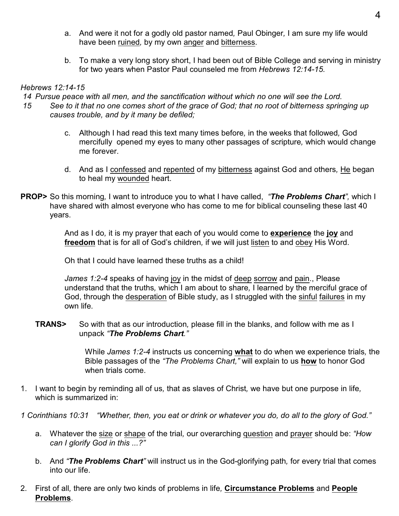- a. And were it not for a godly old pastor named*,* Paul Obinger*,* I am sure my life would have been ruined*,* by my own anger and bitterness.
- b. To make a very long story short, I had been out of Bible College and serving in ministry for two years when Pastor Paul counseled me from *Hebrews 12:14-15.*

#### *Hebrews 12:14-15*

 *14 Pursue peace with all men, and the sanctification without which no one will see the Lord.*

- *15 See to it that no one comes short of the grace of God; that no root of bitterness springing up causes trouble, and by it many be defiled;*
	- c. Although I had read this text many times before*,* in the weeks that followed*,* God mercifully opened my eyes to many other passages of scripture*,* which would change me forever.
	- d. And as I confessed and repented of my bitterness against God and others*,* He began to heal my wounded heart.
- **PROP>** So this morning*,* I want to introduce you to what I have called, *"The Problems Chart",* which I have shared with almost everyone who has come to me for biblical counseling these last 40 years.

And as I do*,* it is my prayer that each of you would come to **experience** the **joy** and **freedom** that is for all of God's children*,* if we will just listen to and obey His Word.

Oh that I could have learned these truths as a child!

*James 1:2-4* speaks of having joy in the midst of deep sorrow and pain., Please understand that the truths*,* which I am about to share*,* I learned by the merciful grace of God, through the desperation of Bible study, as I struggled with the sinful failures in my own life*.*

**TRANS>** So with that as our introduction*,* please fill in the blanks, and follow with me as I unpack *"The Problems Chart."*

> While *James 1:2-4* instructs us concerning **what** to do when we experience trials*,* the Bible passages of the *"The Problems Chart,"* will explain to us **how** to honor God when trials come.

- 1. I want to begin by reminding all of us*,* that as slaves of Christ*,* we have but one purpose in life*,* which is summarized in:
- *1 Corinthians 10:31 "Whether, then, you eat or drink or whatever you do, do all to the glory of God."*
	- a. Whatever the size or shape of the trial*,* our overarching question and prayer should be: *"How can I glorify God in this ...?"*
	- b. And *"The Problems Chart"* will instruct us in the God-glorifying path*,* for every trial that comes into our life.
- 2. First of all*,* there are only two kinds of problems in life*,* **Circumstance Problems** and **People Problems**.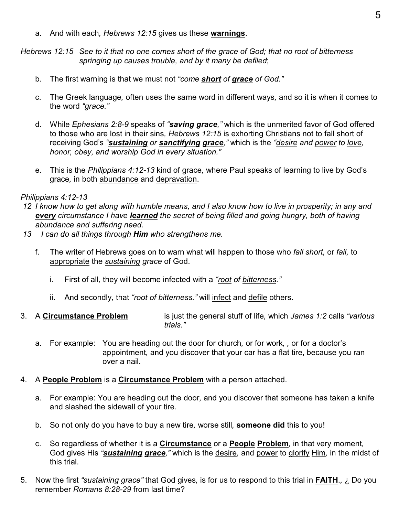a. And with each*, Hebrews 12:15* gives us these **warnings**.

*Hebrews 12:15 See to it that no one comes short of the grace of God; that no root of bitterness springing up causes trouble, and by it many be defiled*;

- b. The first warning is that we must not *"come short of grace of God."*
- c. The Greek language*,* often uses the same word in different ways*,* and so it is when it comes to the word *"grace."*
- d. While *Ephesians 2:8-9* speaks of *"saving grace,"* which is the unmerited favor of God offered to those who are lost in their sins*, Hebrews 12:15* is exhorting Christians not to fall short of receiving God's *"sustaining or sanctifying grace,"* which is the *"desire and power to love, honor, obey, and worship God in every situation."*
- e. This is the *Philippians 4:12-13* kind of grace*,* where Paul speaks of learning to live by God's grace*,* in both abundance and depravation.

#### *Philippians 4:12-13*

- *12 I know how to get along with humble means, and I also know how to live in prosperity; in any and every circumstance I have learned the secret of being filled and going hungry, both of having abundance and suffering need.*
- *13 I can do all things through Him who strengthens me.*
	- f. The writer of Hebrews goes on to warn what will happen to those who *fall short,* or *fail,* to appropriate the *sustaining grace* of God.
		- i. First of all*,* they will become infected with a *"root of bitterness."*
		- ii. And secondly*,* that *"root of bitterness."* will infect and defile others.
- 3. A **Circumstance Problem** is just the general stuff of life*,* which *James 1:2* calls *"various trials."* 
	- a. For example: You are heading out the door for church, or for work, , or for a doctor's appointment*,* and you discover that your car has a flat tire, because you ran over a nail.
- 4. A **People Problem** is a **Circumstance Problem** with a person attached.
	- a. For example: You are heading out the door*,* and you discover that someone has taken a knife and slashed the sidewall of your tire.
	- b. So not only do you have to buy a new tire*,* worse still*,* **someone did** this to you!
	- c. So regardless of whether it is a **Circumstance** or a **People Problem***,* in that very moment*,* God gives His *"sustaining grace,"* which is the desire*,* and power to glorify Him*,* in the midst of this trial.
- 5. Now the first *"sustaining grace"* that God gives*,* is for us to respond to this trial in **FAITH**.*,* ¿ Do you remember *Romans 8:28-29* from last time?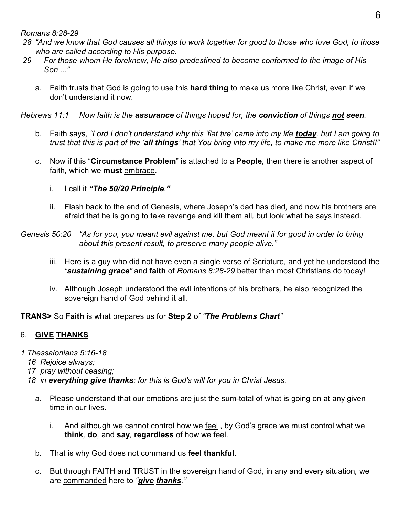*Romans 8:28-29* 

- *28 "And we know that God causes all things to work together for good to those who love God, to those who are called according to His purpose.*
- *29 For those whom He foreknew, He also predestined to become conformed to the image of His Son ..."*
	- a. Faith trusts that God is going to use this **hard thing** to make us more like Christ*,* even if we don't understand it now.

*Hebrews 11:1 Now faith is the assurance of things hoped for, the conviction of things not seen.*

- b. Faith says*, "Lord I don't understand why this 'flat tire' came into my life today, but I am going to trust that this is part of the 'all things' that You bring into my life, to make me more like Christ!!"*
- c. Now if this "**Circumstance Problem**" is attached to a **People***,* then there is another aspect of faith*,* which we **must** embrace.
	- i. I call it *"The 50/20 Principle."*
	- ii. Flash back to the end of Genesis*,* where Joseph's dad has died*,* and now his brothers are afraid that he is going to take revenge and kill them all*,* but look what he says instead.
- *Genesis 50:20 "As for you, you meant evil against me, but God meant it for good in order to bring about this present result, to preserve many people alive."*
	- iii. Here is a guy who did not have even a single verse of Scripture*,* and yet he understood the *"sustaining grace"* and **faith** of *Romans 8:28-29* better than most Christians do today!
	- iv. Although Joseph understood the evil intentions of his brothers*,* he also recognized the sovereign hand of God behind it all.

## **TRANS>** So **Faith** is what prepares us for **Step 2** of *"The Problems Chart"*

## 6. **GIVE THANKS**

*1 Thessalonians 5:16-18* 

- *16 Rejoice always;*
- *17 pray without ceasing;*
- *18 in everything give thanks; for this is God's will for you in Christ Jesus.*
	- a. Please understand that our emotions are just the sum-total of what is going on at any given time in our lives.
		- i. And although we cannot control how we feel , by God's grace we must control what we **think***,* **do***,* and **say***,* **regardless** of how we feel.
	- b. That is why God does not command us **feel thankful**.
	- c. But through FAITH and TRUST in the sovereign hand of God*,* in any and every situation*,* we are commanded here to *"give thanks."*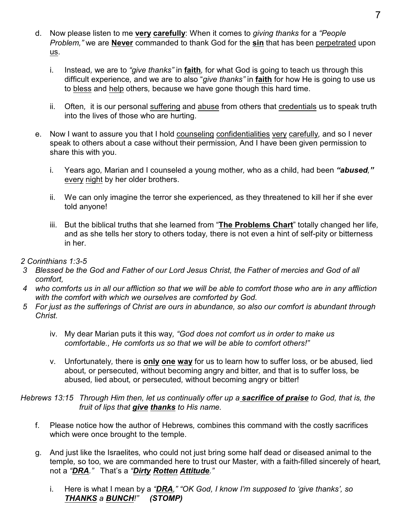- d. Now please listen to me **very carefully**: When it comes to *giving thanks* for a *"People Problem,"* we are **Never** commanded to thank God for the **sin** that has been perpetrated upon us.
	- i. Instead*,* we are to *"give thanks"* in **faith***,* for what God is going to teach us through this difficult experience*,* and we are to also "*give thanks"* in **faith** for how He is going to use us to bless and help others*,* because we have gone though this hard time.
	- ii. Often*,* it is our personal suffering and abuse from others that credentials us to speak truth into the lives of those who are hurting.
- e. Now I want to assure you that I hold counseling confidentialities very carefully*,* and so I never speak to others about a case without their permission*,* And I have been given permission to share this with you.
	- i. Years ago*,* Marian and I counseled a young mother*,* who as a child, had been *"abused,"* every night by her older brothers.
	- ii. We can only imagine the terror she experienced*,* as they threatened to kill her if she ever told anyone!
	- iii. But the biblical truths that she learned from "**The Problems Chart**" totally changed her life*,* and as she tells her story to others today*,* there is not even a hint of self-pity or bitterness in her.

#### *2 Corinthians 1:3-5*

- *3 Blessed be the God and Father of our Lord Jesus Christ, the Father of mercies and God of all comfort,*
- *4 who comforts us in all our affliction so that we will be able to comfort those who are in any affliction with the comfort with which we ourselves are comforted by God.*
- *5 For just as the sufferings of Christ are ours in abundance, so also our comfort is abundant through Christ.*
	- iv. My dear Marian puts it this way*, "God does not comfort us in order to make us comfortable., He comforts us so that we will be able to comfort others!"*
	- v. Unfortunately*,* there is **only one way** for us to learn how to suffer loss*,* or be abused*,* lied about*,* or persecuted*,* without becoming angry and bitter*,* and that is to suffer loss*,* be abused*,* lied about*,* or persecuted*,* without becoming angry or bitter!

#### *Hebrews 13:15 Through Him then, let us continually offer up a sacrifice of praise to God, that is, the fruit of lips that give thanks to His name.*

- f. Please notice how the author of Hebrews*,* combines this command with the costly sacrifices which were once brought to the temple.
- g. And just like the Israelites*,* who could not just bring some half dead or diseased animal to the temple*,* so too*,* we are commanded here to trust our Master*,* with a faith-filled sincerely of heart*,* not a *"DRA."* That's a *"Dirty Rotten Attitude."*
	- i. Here is what I mean by a *"DRA," "OK God, I know I'm supposed to 'give thanks', so THANKS a BUNCH!" (STOMP)*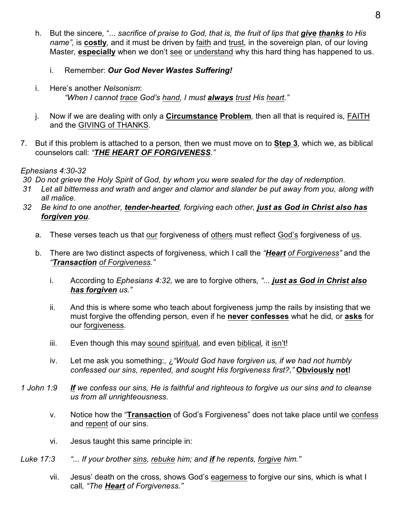- h. But the sincere*,* "... *sacrifice of praise to God, that is, the fruit of lips that give thanks to His name",* is **costly***,* and it must be driven by faith and trust*,* in the sovereign plan*,* of our loving Master*,* **especially** when we don't see or understand why this hard thing has happened to us.
	- i. Remember: *Our God Never Wastes Suffering!*
- i. Here's another *Nelsonism*: *"When I cannot trace God's hand, I must always trust His heart."*
- j. Now if we are dealing with only a **Circumstance Problem***,* then all that is required is*,* FAITH and the GIVING of THANKS.
- 7. But if this problem is attached to a person*,* then we must move on to **Step 3***,* which we, as biblical counselors call: *"THE HEART OF FORGIVENESS."*

## *Ephesians 4:30-32*

 *30 Do not grieve the Holy Spirit of God, by whom you were sealed for the day of redemption.*

- *31 Let all bitterness and wrath and anger and clamor and slander be put away from you, along with all malice.*
- *32 Be kind to one another, tender-hearted, forgiving each other, just as God in Christ also has forgiven you.*
	- a. These verses teach us that our forgiveness of others must reflect God's forgiveness of us.
	- b. There are two distinct aspects of forgiveness*,* which I call the *"Heart of Forgiveness"* and the *"Transaction of Forgiveness."*
		- i. According to *Ephesians 4:32,* we are to forgive others*, "... just as God in Christ also has forgiven us."*
		- ii. And this is where some who teach about forgiveness jump the rails by insisting that we must forgive the offending person*,* even if he **never confesses** what he did*,* or **asks** for our forgiveness.
		- iii. Even though this may sound spiritual*,* and even biblical*,* it isn't!
		- iv. Let me ask you something:*,* ¿*"Would God have forgiven us, if we had not humbly confessed our sins, repented, and sought His forgiveness first?,"* **Obviously not!**
- *1 John 1:9 If we confess our sins, He is faithful and righteous to forgive us our sins and to cleanse us from all unrighteousness.*
	- v. Notice how the "**Transaction** of God's Forgiveness" does not take place until we confess and repent of our sins.
	- vi. Jesus taught this same principle in:
- *Luke 17:3 "... If your brother sins, rebuke him; and if he repents, forgive him."*
	- vii. Jesus' death on the cross*,* shows God's eagerness to forgive our sins*,* which is what I call*, "The Heart of Forgiveness."*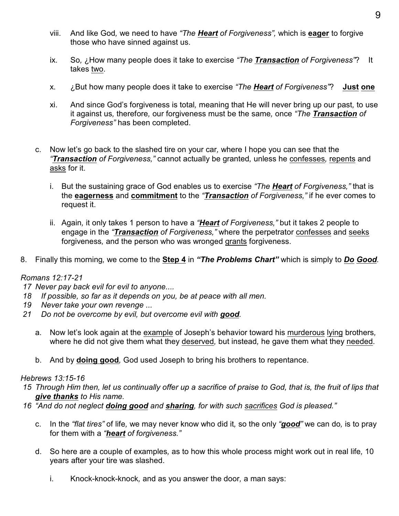- viii. And like God*,* we need to have *"The Heart of Forgiveness",* which is **eager** to forgive those who have sinned against us.
- ix. So*,* ¿How many people does it take to exercise *"The Transaction of Forgiveness"*? It takes two.
- x. ¿But how many people does it take to exercise *"The Heart of Forgiveness"*? **Just one**
- xi. And since God's forgiveness is total*,* meaning that He will never bring up our past*,* to use it against us*,* therefore*,* our forgiveness must be the same*,* once *"The Transaction of Forgiveness"* has been completed.
- c. Now let's go back to the slashed tire on your car*,* where I hope you can see that the *"Transaction of Forgiveness,"* cannot actually be granted*,* unless he confesses*,* repents and asks for it.
	- i. But the sustaining grace of God enables us to exercise *"The Heart of Forgiveness,"* that is the **eagerness** and **commitment** to the *"Transaction of Forgiveness,"* if he ever comes to request it.
	- ii. Again*,* it only takes 1 person to have a *"Heart of Forgiveness,"* but it takes 2 people to engage in the *"Transaction of Forgiveness,"* where the perpetrator confesses and seeks forgiveness*,* and the person who was wronged grants forgiveness.
- 8. Finally this morning*,* we come to the **Step 4** in *"The Problems Chart"* which is simply to *Do Good.*

## *Romans 12:17-21*

- *17 Never pay back evil for evil to anyone....*
- *18 If possible, so far as it depends on you, be at peace with all men.*
- *19 Never take your own revenge ...*
- *21 Do not be overcome by evil, but overcome evil with good.*
	- a. Now let's look again at the example of Joseph's behavior toward his murderous lying brothers*,* where he did not give them what they deserved*,* but instead*,* he gave them what they needed.
	- b. And by **doing good***,* God used Joseph to bring his brothers to repentance.

#### *Hebrews 13:15-16*

- *15 Through Him then, let us continually offer up a sacrifice of praise to God, that is, the fruit of lips that give thanks to His name.*
- *16 "And do not neglect doing good and sharing, for with such sacrifices God is pleased."*
	- c. In the *"flat tires"* of life*,* we may never know who did it*,* so the only *"good"* we can do*,* is to pray for them with a *"heart of forgiveness."*
	- d. So here are a couple of examples*,* as to how this whole process might work out in real life*,* 10 years after your tire was slashed.
		- i. Knock-knock-knock*,* and as you answer the door*,* a man says: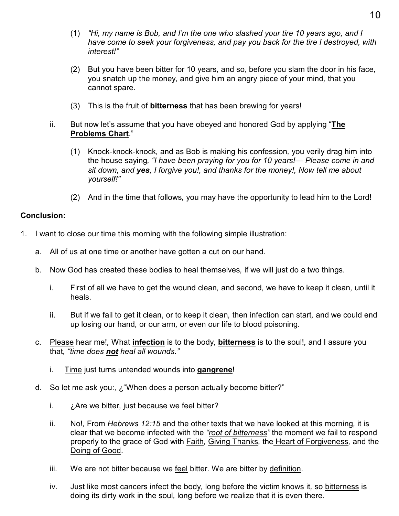- (1) *"Hi, my name is Bob, and I'm the one who slashed your tire 10 years ago, and I have come to seek your forgiveness, and pay you back for the tire I destroyed, with interest!"*
- (2) But you have been bitter for 10 years*,* and so, before you slam the door in his face, you snatch up the money*,* and give him an angry piece of your mind*,* that you cannot spare.
- (3) This is the fruit of **bitterness** that has been brewing for years!
- ii. But now let's assume that you have obeyed and honored God by applying "**The Problems Chart**."
	- (1) Knock-knock-knock*,* and as Bob is making his confession*,* you verily drag him into the house saying*, "I have been praying for you for 10 years!— Please come in and sit down, and yes, I forgive you!, and thanks for the money!, Now tell me about yourself!"*
	- (2) And in the time that follows*,* you may have the opportunity to lead him to the Lord!

#### **Conclusion:**

- 1. I want to close our time this morning with the following simple illustration:
	- a. All of us at one time or another have gotten a cut on our hand.
	- b. Now God has created these bodies to heal themselves*,* if we will just do a two things.
		- i. First of all we have to get the wound clean*,* and second*,* we have to keep it clean*,* until it heals.
		- ii. But if we fail to get it clean, or to keep it clean*,* then infection can start*,* and we could end up losing our hand*,* or our arm*,* or even our life to blood poisoning.
	- c. Please hear me!*,* What **infection** is to the body*,* **bitterness** is to the soul!*,* and I assure you that*, "time does not heal all wounds."*
		- i. Time just turns untended wounds into **gangrene**!
	- d. So let me ask you:*,* ¿"When does a person actually become bitter?"
		- i. ¿Are we bitter*,* just because we feel bitter?
		- ii. No!*,* From *Hebrews 12:15* and the other texts that we have looked at this morning*,* it is clear that we become infected with the *"root of bitterness"* the moment we fail to respond properly to the grace of God with Faith*,* Giving Thanks*,* the Heart of Forgiveness*,* and the Doing of Good.
		- iii. We are not bitter because we feel bitter. We are bitter by definition.
		- iv. Just like most cancers infect the body*,* long before the victim knows it*,* so bitterness is doing its dirty work in the soul*,* long before we realize that it is even there.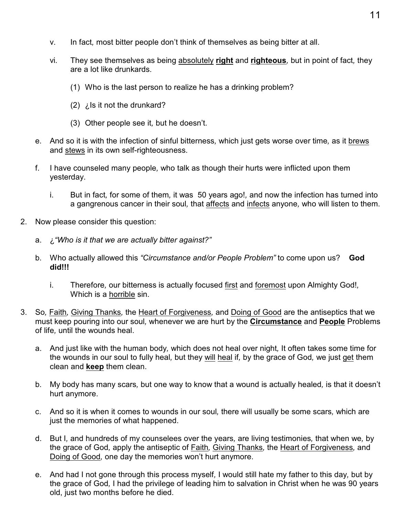- v. In fact*,* most bitter people don't think of themselves as being bitter at all.
- vi. They see themselves as being absolutely **right** and **righteous***,* but in point of fact*,* they are a lot like drunkards.
	- (1) Who is the last person to realize he has a drinking problem?
	- (2) ¿Is it not the drunkard?
	- (3) Other people see it*,* but he doesn't.
- e. And so it is with the infection of sinful bitterness*,* which just gets worse over time*,* as it brews and stews in its own self-righteousness.
- f. I have counseled many people*,* who talk as though their hurts were inflicted upon them yesterday.
	- i. But in fact*,* for some of them*,* it was 50 years ago!*,* and now the infection has turned into a gangrenous cancer in their soul*,* that affects and infects anyone*,* who will listen to them.
- 2. Now please consider this question:
	- a. ¿*"Who is it that we are actually bitter against?"*
	- b. Who actually allowed this *"Circumstance and/or People Problem"* to come upon us? **God did!!!**
		- i. Therefore*,* our bitterness is actually focused first and foremost upon Almighty God!*,* Which is a horrible sin.
- 3. So*,* Faith*,* Giving Thanks*,* the Heart of Forgiveness*,* and Doing of Good are the antiseptics that we must keep pouring into our soul*,* whenever we are hurt by the **Circumstance** and **People** Problems of life*,* until the wounds heal.
	- a. And just like with the human body*,* which does not heal over night*,* It often takes some time for the wounds in our soul to fully heal*,* but they will heal if*,* by the grace of God*,* we just get them clean and **keep** them clean.
	- b. My body has many scars*,* but one way to know that a wound is actually healed*,* is that it doesn't hurt anymore.
	- c. And so it is when it comes to wounds in our soul*,* there will usually be some scars*,* which are just the memories of what happened.
	- d. But I*,* and hundreds of my counselees over the years*,* are living testimonies*,* that when we*,* by the grace of God*,* apply the antiseptic of Faith*,* Giving Thanks*,* the Heart of Forgiveness*,* and Doing of Good*,* one day the memories won't hurt anymore.
	- e. And had I not gone through this process myself*,* I would still hate my father to this day*,* but by the grace of God*,* I had the privilege of leading him to salvation in Christ when he was 90 years old, just two months before he died.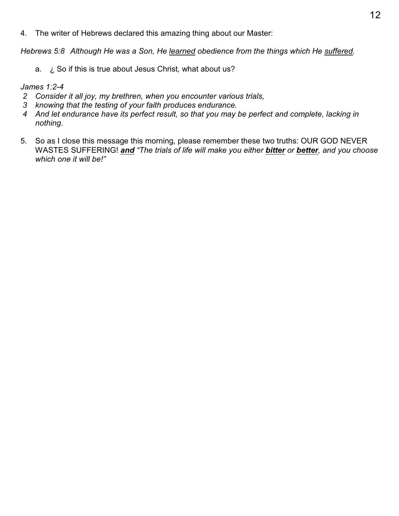4. The writer of Hebrews declared this amazing thing about our Master:

*Hebrews 5:8 Although He was a Son, He learned obedience from the things which He suffered.*

a. ¿ So if this is true about Jesus Christ*,* what about us?

#### *James 1:2-4*

- *2 Consider it all joy, my brethren, when you encounter various trials,*
- *3 knowing that the testing of your faith produces endurance.*
- *4 And let endurance have its perfect result, so that you may be perfect and complete, lacking in nothing.*
- 5. So as I close this message this morning*,* please remember these two truths: OUR GOD NEVER WASTES SUFFERING! *and "The trials of life will make you either bitter or better, and you choose which one it will be!"*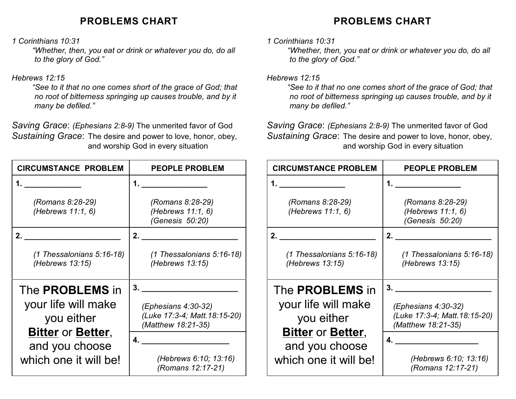## **PROBLEMS CHART**

*1 Corinthians 10:31* 

*"Whether, then, you eat or drink or whatever you do, do all to the glory of God."*

## *Hebrews 12:15*

*"See to it that no one comes short of the grace of God; that no root of bitterness springing up causes trouble, and by it many be defiled."*

*Saving Grace*: *(Ephesians 2:8-9)* The unmerited favor of God *Sustaining Grace*: The desire and power to love, honor, obey, and worship God in every situation

| <b>CIRCUMSTANCE PROBLEM</b>                                                     | <b>PEOPLE PROBLEM</b>                                                           |
|---------------------------------------------------------------------------------|---------------------------------------------------------------------------------|
|                                                                                 |                                                                                 |
| (Romans 8:28-29)<br>(Hebrews 11:1, 6)                                           | (Romans 8:28-29)<br>(Hebrews 11:1, 6)<br>(Genesis 50:20)                        |
| 2.                                                                              | 2.                                                                              |
| (1 Thessalonians 5:16-18)<br>(Hebrews 13:15)                                    | $(1$ Thessalonians 5:16-18)<br>(Hebrews 13:15)                                  |
| The <b>PROBLEMS</b> in                                                          | 3.                                                                              |
| your life will make<br>you either<br><b>Bitter or Better,</b><br>and you choose | (Ephesians 4:30-32)<br>(Luke 17:3-4; Matt.18:15-20)<br>(Matthew 18:21-35)<br>4. |
| which one it will be!                                                           | (Hebrews 6:10; 13:16)<br>(Romans 12:17-21)                                      |

# **PROBLEMS CHART**

#### *1 Corinthians 10:31*

*"Whether, then, you eat or drink or whatever you do, do all to the glory of God."*

#### *Hebrews 12:15*

*"See to it that no one comes short of the grace of God; that no root of bitterness springing up causes trouble, and by it many be defiled."*

*Saving Grace*: *(Ephesians 2:8-9)* The unmerited favor of God *Sustaining Grace*: The desire and power to love, honor, obey, and worship God in every situation

| <b>CIRCUMSTANCE PROBLEM</b>                    | <b>PEOPLE PROBLEM</b>                                                        |
|------------------------------------------------|------------------------------------------------------------------------------|
| 1.                                             | 1.                                                                           |
| (Romans 8:28-29)<br>(Hebrews 11:1, 6)          | (Romans 8:28-29)<br>(Hebrews 11:1, 6)<br>(Genesis 50:20)                     |
| 2.                                             | 2.                                                                           |
| $(1$ Thessalonians 5:16-18)<br>(Hebrews 13:15) | $(1$ Thessalonians 5:16-18)<br>(Hebrews 13:15)                               |
| The <b>PROBLEMS</b> in                         | 3.                                                                           |
| your life will make<br>you either              | $(Ephesians 4:30-32)$<br>(Luke 17:3-4; Matt. 18:15-20)<br>(Matthew 18:21-35) |
| <b>Bitter or Better,</b>                       | 4.                                                                           |
| and you choose<br>which one it will be!        | (Hebrews 6:10; 13:16)<br>(Romans 12:17-21)                                   |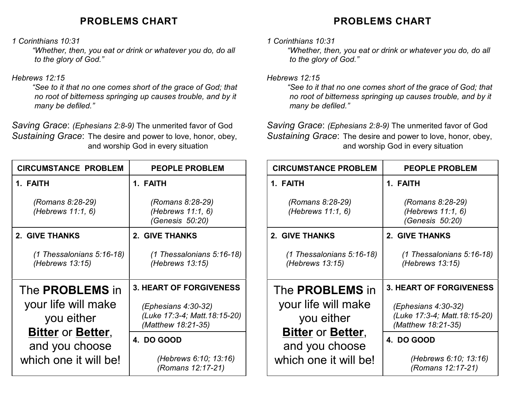## **PROBLEMS CHART**

*1 Corinthians 10:31* 

*"Whether, then, you eat or drink or whatever you do, do all to the glory of God."*

## *Hebrews 12:15*

*"See to it that no one comes short of the grace of God; that no root of bitterness springing up causes trouble, and by it many be defiled."*

*Saving Grace*: *(Ephesians 2:8-9)* The unmerited favor of God *Sustaining Grace*: The desire and power to love, honor, obey, and worship God in every situation

| <b>CIRCUMSTANCE PROBLEM</b>                    | <b>PEOPLE PROBLEM</b>                                                      |
|------------------------------------------------|----------------------------------------------------------------------------|
| 1. FAITH                                       | 1. FAITH                                                                   |
| (Romans 8:28-29)<br>(Hebrews 11:1, 6)          | (Romans 8:28-29)<br>(Hebrews 11:1, 6)<br>(Genesis 50:20)                   |
| 2. GIVE THANKS                                 | 2. GIVE THANKS                                                             |
| $(1$ Thessalonians 5:16-18)<br>(Hebrews 13:15) | $(1$ Thessalonians 5:16-18)<br>(Hebrews 13:15)                             |
| The <b>PROBLEMS</b> in                         | <b>3. HEART OF FORGIVENESS</b>                                             |
| your life will make<br>you either              | (Ephesians 4:30-32)<br>(Luke 17:3-4; Matt. 18:15-20)<br>(Matthew 18:21-35) |
| <b>Bitter or Better,</b><br>and you choose     | 4. DO GOOD                                                                 |
| which one it will be!                          | (Hebrews 6:10; 13:16)<br>(Romans 12:17-21)                                 |

# **PROBLEMS CHART**

### *1 Corinthians 10:31*

*"Whether, then, you eat or drink or whatever you do, do all to the glory of God."*

#### *Hebrews 12:15*

*"See to it that no one comes short of the grace of God; that no root of bitterness springing up causes trouble, and by it many be defiled."*

*Saving Grace*: *(Ephesians 2:8-9)* The unmerited favor of God *Sustaining Grace*: The desire and power to love, honor, obey, and worship God in every situation

| <b>CIRCUMSTANCE PROBLEM</b>                    | <b>PEOPLE PROBLEM</b>                                                        |
|------------------------------------------------|------------------------------------------------------------------------------|
| 1. FAITH                                       | 1. FAITH                                                                     |
| (Romans 8:28-29)<br>(Hebrews 11:1, 6)          | (Romans 8:28-29)<br>(Hebrews 11:1, 6)<br>(Genesis 50:20)                     |
| 2. GIVE THANKS                                 | 2. GIVE THANKS                                                               |
| $(1$ Thessalonians 5:16-18)<br>(Hebrews 13:15) | $(1$ Thessalonians 5:16-18)<br>(Hebrews 13:15)                               |
| The <b>PROBLEMS</b> in                         | <b>3. HEART OF FORGIVENESS</b>                                               |
| your life will make<br>you either              | $(Ephesians 4:30-32)$<br>(Luke 17:3-4; Matt. 18:15-20)<br>(Matthew 18:21-35) |
| <b>Bitter or Better,</b><br>and you choose     | 4. DO GOOD                                                                   |
| which one it will be!                          | (Hebrews 6:10; 13:16)<br>(Romans 12:17-21)                                   |